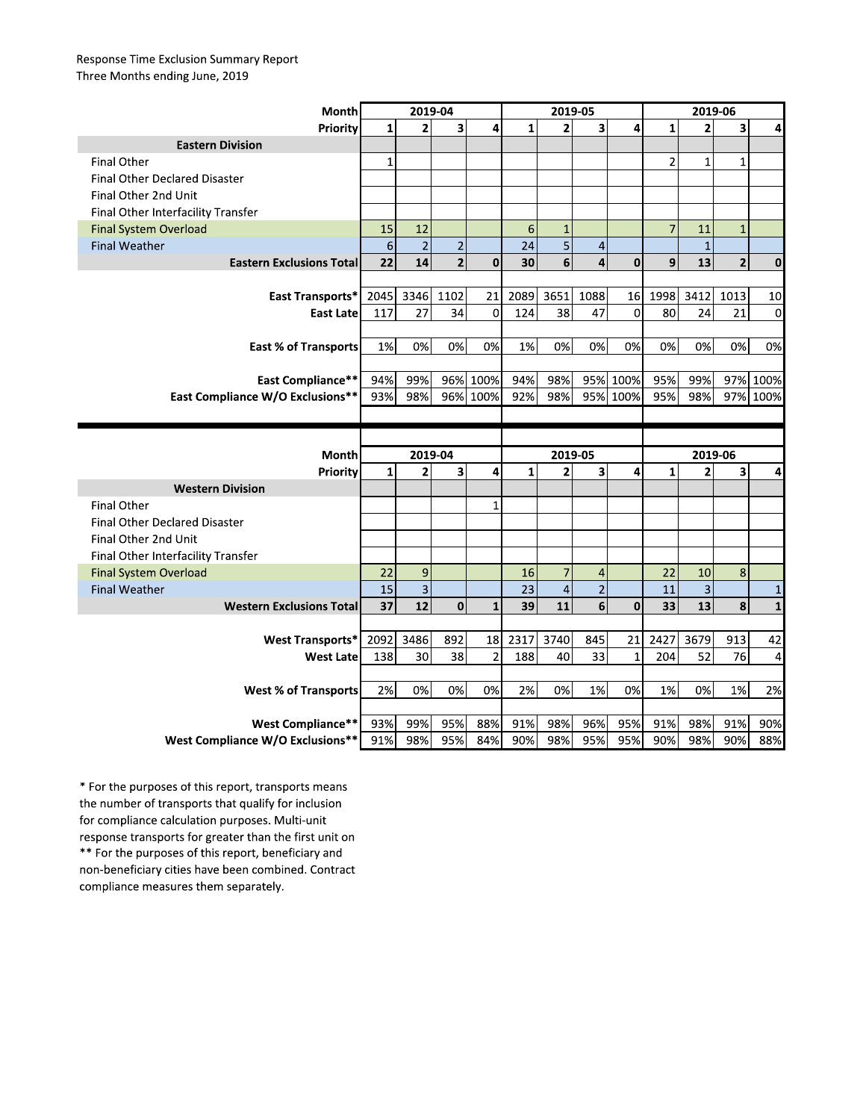## Response Time Exclusion Summary Report Three Months ending June, 2019

| Month                                                        | 2019-04      |                         |                         |                | 2019-05      |                |                |                | 2019-06        |                |                         |              |
|--------------------------------------------------------------|--------------|-------------------------|-------------------------|----------------|--------------|----------------|----------------|----------------|----------------|----------------|-------------------------|--------------|
| Priority                                                     | $\mathbf{1}$ | $\overline{2}$          | 3                       | 4              | $\mathbf{1}$ | $\overline{2}$ | 3              | 4              | $\mathbf{1}$   | $\overline{2}$ | 3                       | 4            |
| <b>Eastern Division</b>                                      |              |                         |                         |                |              |                |                |                |                |                |                         |              |
| <b>Final Other</b>                                           | $\mathbf{1}$ |                         |                         |                |              |                |                |                | $\overline{2}$ | $\mathbf{1}$   | $\mathbf{1}$            |              |
| <b>Final Other Declared Disaster</b>                         |              |                         |                         |                |              |                |                |                |                |                |                         |              |
| Final Other 2nd Unit                                         |              |                         |                         |                |              |                |                |                |                |                |                         |              |
| Final Other Interfacility Transfer                           |              |                         |                         |                |              |                |                |                |                |                |                         |              |
| <b>Final System Overload</b>                                 | 15           | 12                      |                         |                | 6            | $\mathbf{1}$   |                |                | $\overline{7}$ | 11             | $\mathbf{1}$            |              |
| <b>Final Weather</b>                                         | $\epsilon$   | $\overline{2}$          | $\overline{2}$          |                | 24           | 5              | $\overline{4}$ |                |                | $\mathbf 1$    |                         |              |
| <b>Eastern Exclusions Total</b>                              | 22           | 14                      | $\mathbf{2}$            | $\mathbf 0$    | 30           | 6              | 4              | $\mathbf{0}$   | 9              | 13             | $\overline{\mathbf{c}}$ | $\mathbf 0$  |
|                                                              |              |                         |                         |                |              |                |                |                |                |                |                         |              |
| East Transports*                                             | 2045         | 3346                    | 1102                    | 21             | 2089         | 3651           | 1088           | 16             | 1998           | 3412           | 1013                    | 10           |
| <b>East Late</b>                                             | 117          | 27                      | 34                      | $\overline{0}$ | 124          | 38             | 47             | $\overline{0}$ | 80             | 24             | 21                      | 0            |
|                                                              |              |                         |                         |                |              |                |                |                |                |                |                         |              |
| <b>East % of Transports</b>                                  | 1%           | 0%                      | 0%                      | 0%             | 1%           | 0%             | 0%             | 0%             | 0%             | 0%             | 0%                      | 0%           |
|                                                              |              |                         |                         |                |              |                |                |                |                |                |                         |              |
| <b>East Compliance**</b>                                     | 94%          | 99%                     |                         | 96% 100%       | 94%          | 98%            |                | 95% 100%       | 95%            | 99%            |                         | 97% 100%     |
| <b>East Compliance W/O Exclusions**</b>                      | 93%          | 98%                     |                         | 96% 100%       | 92%          | 98%            |                | 95% 100%       | 95%            | 98%            |                         | 97% 100%     |
|                                                              |              |                         |                         |                |              |                |                |                |                |                |                         |              |
|                                                              |              |                         |                         |                |              |                |                |                |                |                |                         |              |
|                                                              |              |                         |                         |                |              |                |                |                |                |                |                         |              |
| Month                                                        |              | 2019-04                 |                         |                |              | 2019-05        |                |                |                | 2019-06        |                         |              |
| Priority                                                     | $\mathbf{1}$ | $\overline{\mathbf{c}}$ | $\overline{\mathbf{3}}$ | 4              | $\mathbf{1}$ | $\overline{2}$ | 3              | 4              | $\mathbf{1}$   | $\overline{2}$ | 3                       | 4            |
| <b>Western Division</b>                                      |              |                         |                         |                |              |                |                |                |                |                |                         |              |
| <b>Final Other</b>                                           |              |                         |                         | $\mathbf{1}$   |              |                |                |                |                |                |                         |              |
| Final Other Declared Disaster                                |              |                         |                         |                |              |                |                |                |                |                |                         |              |
| Final Other 2nd Unit                                         |              |                         |                         |                |              |                |                |                |                |                |                         |              |
| Final Other Interfacility Transfer                           |              |                         |                         |                |              |                |                |                |                |                |                         |              |
| <b>Final System Overload</b>                                 | 22           | 9                       |                         |                | 16           | 7              | 4              |                | 22             | 10             | 8                       |              |
| <b>Final Weather</b>                                         | 15           | $\mathsf 3$             |                         |                | 23           | $\overline{4}$ | $\overline{2}$ |                | 11             | $\mathsf 3$    |                         | $\mathbf{1}$ |
| <b>Western Exclusions Total</b>                              | 37           | 12                      | $\mathbf 0$             | $\mathbf{1}$   | 39           | 11             | 6              | $\mathbf{0}$   | 33             | 13             | 8                       | $\mathbf{1}$ |
|                                                              |              |                         |                         |                |              |                |                |                |                |                |                         |              |
| <b>West Transports*</b>                                      | 2092         | 3486                    | 892                     | 18             | 2317         | 3740           | 845            | 21             | 2427           | 3679           | 913                     | 42           |
| <b>West Late</b>                                             | 138          | 30                      | 38                      | $\overline{a}$ | 188          | 40             | 33             | $\mathbf{1}$   | 204            | 52             | 76                      | 4            |
|                                                              |              |                         |                         |                |              |                |                |                |                |                |                         |              |
| <b>West % of Transports</b>                                  | 2%           | 0%                      | 0%                      | 0%             | 2%           | 0%             | 1%             | 0%             | 1%             | 0%             | 1%                      | 2%           |
|                                                              |              |                         |                         |                |              |                |                |                |                |                |                         |              |
| <b>West Compliance**</b><br>West Compliance W/O Exclusions** | 93%<br>91%   | 99%<br>98%              | 95%<br>95%              | 88%<br>84%     | 91%<br>90%   | 98%<br>98%     | 96%<br>95%     | 95%<br>95%     | 91%<br>90%     | 98%<br>98%     | 91%<br>90%              | 90%<br>88%   |

\* For the purposes of this report, transports means the number of transports that qualify for inclusion for compliance calculation purposes. Multi-unit response transports for greater than the first unit on \*\* For the purposes of this report, beneficiary and non-beneficiary cities have been combined. Contract compliance measures them separately.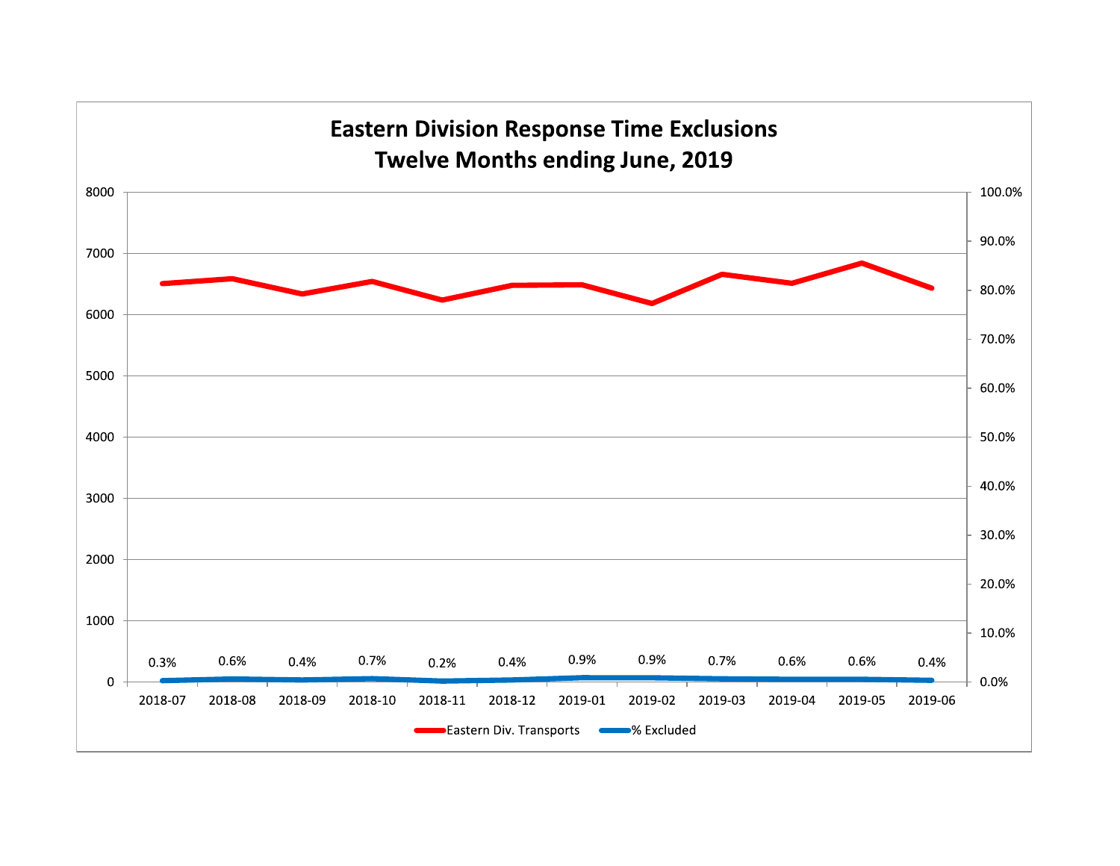